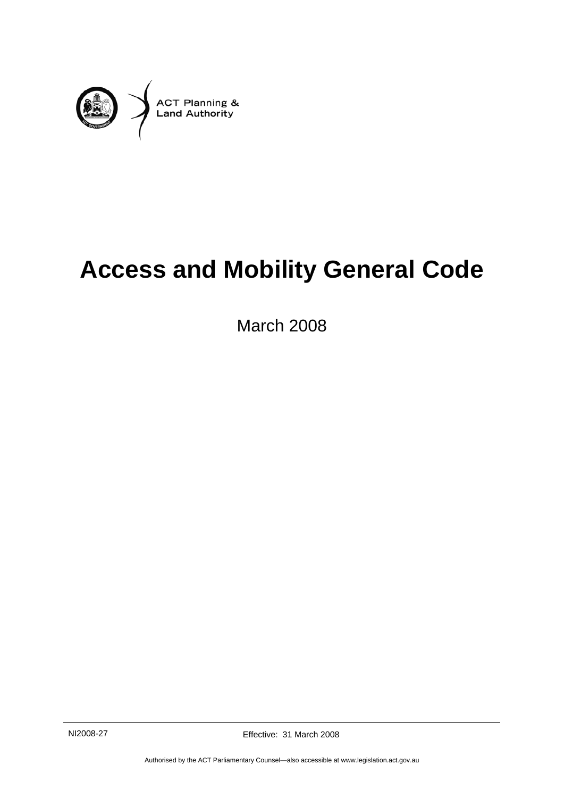

# **Access and Mobility General Code**

March 2008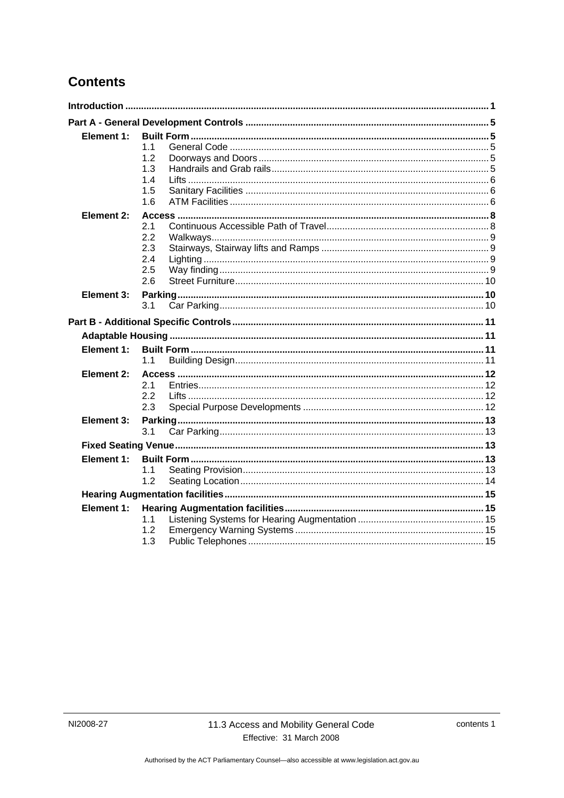# **Contents**

| 1.1        |                                                                                         |  |
|------------|-----------------------------------------------------------------------------------------|--|
|            |                                                                                         |  |
|            |                                                                                         |  |
|            |                                                                                         |  |
|            |                                                                                         |  |
|            |                                                                                         |  |
| 2.1        |                                                                                         |  |
| 2.2        |                                                                                         |  |
| 2.3        |                                                                                         |  |
| 2.4        |                                                                                         |  |
|            |                                                                                         |  |
|            |                                                                                         |  |
|            |                                                                                         |  |
|            |                                                                                         |  |
|            |                                                                                         |  |
|            |                                                                                         |  |
|            |                                                                                         |  |
|            |                                                                                         |  |
|            |                                                                                         |  |
|            |                                                                                         |  |
|            |                                                                                         |  |
|            |                                                                                         |  |
|            |                                                                                         |  |
|            |                                                                                         |  |
|            |                                                                                         |  |
| 1.1        |                                                                                         |  |
| 1.2        |                                                                                         |  |
|            |                                                                                         |  |
| Element 1: |                                                                                         |  |
|            |                                                                                         |  |
| 1.1        |                                                                                         |  |
| 1.2<br>1.3 |                                                                                         |  |
|            | 1.2<br>1.3<br>1.4<br>1.5<br>1.6<br>2.5<br>2.6<br>3.1<br>1.1<br>2.1<br>2.2<br>2.3<br>3.1 |  |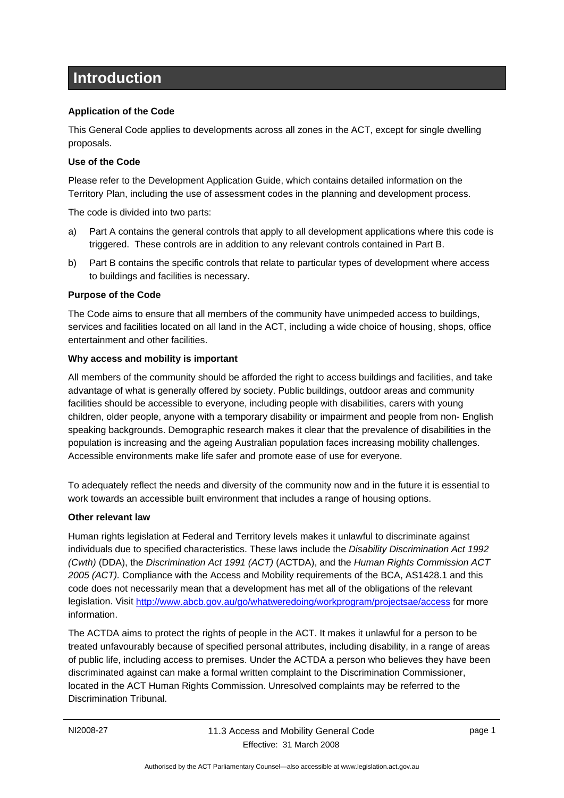# **Introduction**

#### **Application of the Code**

This General Code applies to developments across all zones in the ACT, except for single dwelling proposals.

#### **Use of the Code**

Please refer to the Development Application Guide, which contains detailed information on the Territory Plan, including the use of assessment codes in the planning and development process.

The code is divided into two parts:

- a) Part A contains the general controls that apply to all development applications where this code is triggered. These controls are in addition to any relevant controls contained in Part B.
- b) Part B contains the specific controls that relate to particular types of development where access to buildings and facilities is necessary.

#### **Purpose of the Code**

The Code aims to ensure that all members of the community have unimpeded access to buildings, services and facilities located on all land in the ACT, including a wide choice of housing, shops, office entertainment and other facilities.

#### **Why access and mobility is important**

All members of the community should be afforded the right to access buildings and facilities, and take advantage of what is generally offered by society. Public buildings, outdoor areas and community facilities should be accessible to everyone, including people with disabilities, carers with young children, older people, anyone with a temporary disability or impairment and people from non- English speaking backgrounds. Demographic research makes it clear that the prevalence of disabilities in the population is increasing and the ageing Australian population faces increasing mobility challenges. Accessible environments make life safer and promote ease of use for everyone.

To adequately reflect the needs and diversity of the community now and in the future it is essential to work towards an accessible built environment that includes a range of housing options.

#### **Other relevant law**

Human rights legislation at Federal and Territory levels makes it unlawful to discriminate against individuals due to specified characteristics. These laws include the *Disability Discrimination Act 1992 (Cwth)* (DDA), the *Discrimination Act 1991 (ACT)* (ACTDA), and the *Human Rights Commission ACT 2005 (ACT).* Compliance with the Access and Mobility requirements of the BCA, AS1428.1 and this code does not necessarily mean that a development has met all of the obligations of the relevant legislation. Visit http://www.abcb.gov.au/go/whatweredoing/workprogram/projectsae/access for more information.

The ACTDA aims to protect the rights of people in the ACT. It makes it unlawful for a person to be treated unfavourably because of specified personal attributes, including disability, in a range of areas of public life, including access to premises. Under the ACTDA a person who believes they have been discriminated against can make a formal written complaint to the Discrimination Commissioner, located in the ACT Human Rights Commission. Unresolved complaints may be referred to the Discrimination Tribunal.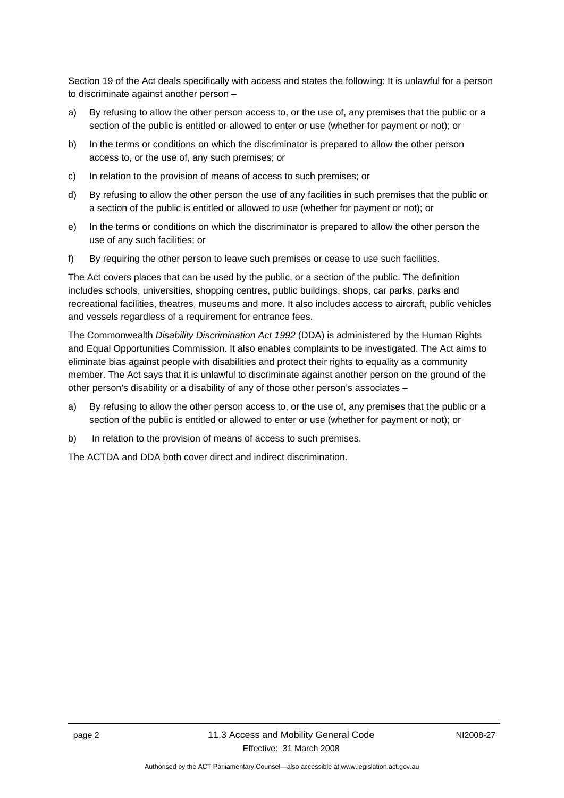Section 19 of the Act deals specifically with access and states the following: It is unlawful for a person to discriminate against another person –

- a) By refusing to allow the other person access to, or the use of, any premises that the public or a section of the public is entitled or allowed to enter or use (whether for payment or not); or
- b) In the terms or conditions on which the discriminator is prepared to allow the other person access to, or the use of, any such premises; or
- c) In relation to the provision of means of access to such premises; or
- d) By refusing to allow the other person the use of any facilities in such premises that the public or a section of the public is entitled or allowed to use (whether for payment or not); or
- e) In the terms or conditions on which the discriminator is prepared to allow the other person the use of any such facilities; or
- f) By requiring the other person to leave such premises or cease to use such facilities.

The Act covers places that can be used by the public, or a section of the public. The definition includes schools, universities, shopping centres, public buildings, shops, car parks, parks and recreational facilities, theatres, museums and more. It also includes access to aircraft, public vehicles and vessels regardless of a requirement for entrance fees.

The Commonwealth *Disability Discrimination Act 1992* (DDA) is administered by the Human Rights and Equal Opportunities Commission. It also enables complaints to be investigated. The Act aims to eliminate bias against people with disabilities and protect their rights to equality as a community member. The Act says that it is unlawful to discriminate against another person on the ground of the other person's disability or a disability of any of those other person's associates –

- a) By refusing to allow the other person access to, or the use of, any premises that the public or a section of the public is entitled or allowed to enter or use (whether for payment or not); or
- b) In relation to the provision of means of access to such premises.

The ACTDA and DDA both cover direct and indirect discrimination.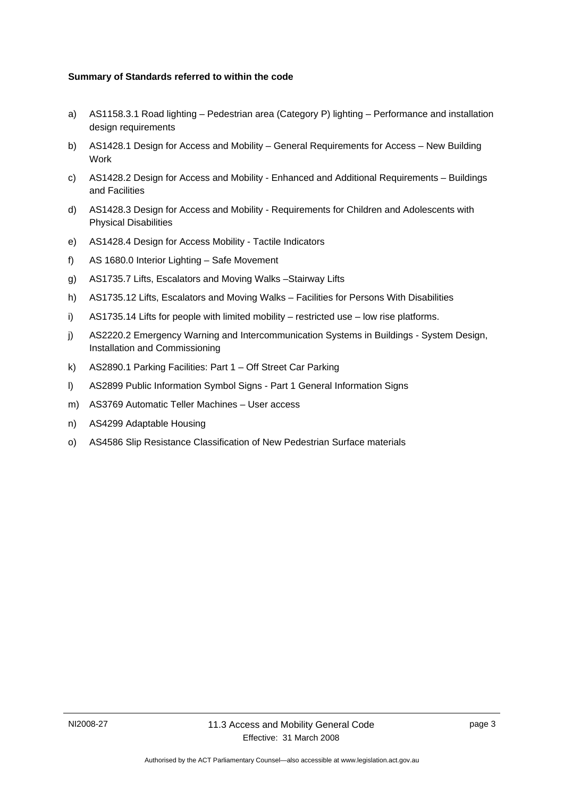#### **Summary of Standards referred to within the code**

- a) AS1158.3.1 Road lighting Pedestrian area (Category P) lighting Performance and installation design requirements
- b) AS1428.1 Design for Access and Mobility General Requirements for Access New Building Work
- c) AS1428.2 Design for Access and Mobility Enhanced and Additional Requirements Buildings and Facilities
- d) AS1428.3 Design for Access and Mobility Requirements for Children and Adolescents with Physical Disabilities
- e) AS1428.4 Design for Access Mobility Tactile Indicators
- f) AS 1680.0 Interior Lighting Safe Movement
- g) AS1735.7 Lifts, Escalators and Moving Walks –Stairway Lifts
- h) AS1735.12 Lifts, Escalators and Moving Walks Facilities for Persons With Disabilities
- i) AS1735.14 Lifts for people with limited mobility restricted use low rise platforms.
- j) AS2220.2 Emergency Warning and Intercommunication Systems in Buildings System Design, Installation and Commissioning
- k) AS2890.1 Parking Facilities: Part 1 Off Street Car Parking
- l) AS2899 Public Information Symbol Signs Part 1 General Information Signs
- m) AS3769 Automatic Teller Machines User access
- n) AS4299 Adaptable Housing
- o) AS4586 Slip Resistance Classification of New Pedestrian Surface materials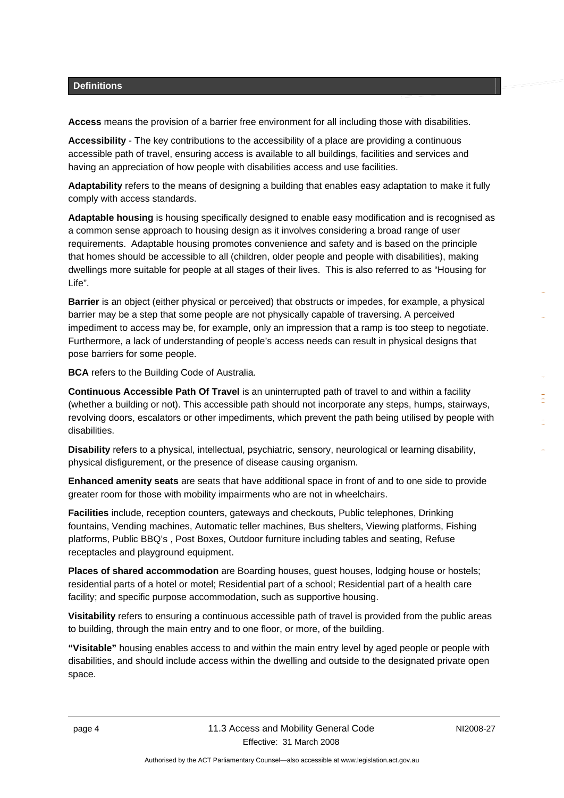#### **Definitions**

**Access** means the provision of a barrier free environment for all including those with disabilities.

**Accessibility** - The key contributions to the accessibility of a place are providing a continuous accessible path of travel, ensuring access is available to all buildings, facilities and services and having an appreciation of how people with disabilities access and use facilities.

**Adaptability** refers to the means of designing a building that enables easy adaptation to make it fully comply with access standards.

**Adaptable housing** is housing specifically designed to enable easy modification and is recognised as a common sense approach to housing design as it involves considering a broad range of user requirements. Adaptable housing promotes convenience and safety and is based on the principle that homes should be accessible to all (children, older people and people with disabilities), making dwellings more suitable for people at all stages of their lives. This is also referred to as "Housing for Life".

**Barrier** is an object (either physical or perceived) that obstructs or impedes, for example, a physical barrier may be a step that some people are not physically capable of traversing. A perceived impediment to access may be, for example, only an impression that a ramp is too steep to negotiate. Furthermore, a lack of understanding of people's access needs can result in physical designs that pose barriers for some people.

**BCA** refers to the Building Code of Australia.

**Continuous Accessible Path Of Travel** is an uninterrupted path of travel to and within a facility (whether a building or not). This accessible path should not incorporate any steps, humps, stairways, revolving doors, escalators or other impediments, which prevent the path being utilised by people with disabilities.

**Disability** refers to a physical, intellectual, psychiatric, sensory, neurological or learning disability, physical disfigurement, or the presence of disease causing organism.

**Enhanced amenity seats** are seats that have additional space in front of and to one side to provide greater room for those with mobility impairments who are not in wheelchairs.

**Facilities** include, reception counters, gateways and checkouts, Public telephones, Drinking fountains, Vending machines, Automatic teller machines, Bus shelters, Viewing platforms, Fishing platforms, Public BBQ's , Post Boxes, Outdoor furniture including tables and seating, Refuse receptacles and playground equipment.

**Places of shared accommodation** are Boarding houses, guest houses, lodging house or hostels; residential parts of a hotel or motel; Residential part of a school; Residential part of a health care facility; and specific purpose accommodation, such as supportive housing.

**Visitability** refers to ensuring a continuous accessible path of travel is provided from the public areas to building, through the main entry and to one floor, or more, of the building.

**"Visitable"** housing enables access to and within the main entry level by aged people or people with disabilities, and should include access within the dwelling and outside to the designated private open space.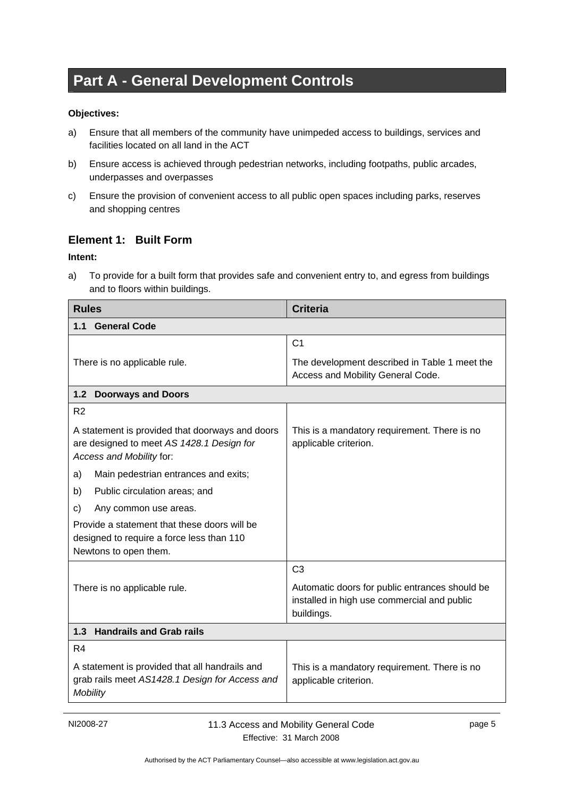# **Part A - General Development Controls**

#### **Objectives:**

- a) Ensure that all members of the community have unimpeded access to buildings, services and facilities located on all land in the ACT
- b) Ensure access is achieved through pedestrian networks, including footpaths, public arcades, underpasses and overpasses
- c) Ensure the provision of convenient access to all public open spaces including parks, reserves and shopping centres

#### **Element 1: Built Form**

#### **Intent:**

a) To provide for a built form that provides safe and convenient entry to, and egress from buildings and to floors within buildings.

| <b>Rules</b>                                                                                                             | <b>Criteria</b>                                                                                             |  |
|--------------------------------------------------------------------------------------------------------------------------|-------------------------------------------------------------------------------------------------------------|--|
| <b>General Code</b><br>1.1                                                                                               |                                                                                                             |  |
|                                                                                                                          | C <sub>1</sub>                                                                                              |  |
| There is no applicable rule.                                                                                             | The development described in Table 1 meet the<br>Access and Mobility General Code.                          |  |
| 1.2<br><b>Doorways and Doors</b>                                                                                         |                                                                                                             |  |
| R <sub>2</sub>                                                                                                           |                                                                                                             |  |
| A statement is provided that doorways and doors<br>are designed to meet AS 1428.1 Design for<br>Access and Mobility for: | This is a mandatory requirement. There is no<br>applicable criterion.                                       |  |
| Main pedestrian entrances and exits;<br>a)                                                                               |                                                                                                             |  |
| Public circulation areas; and<br>b)                                                                                      |                                                                                                             |  |
| c)<br>Any common use areas.                                                                                              |                                                                                                             |  |
| Provide a statement that these doors will be<br>designed to require a force less than 110<br>Newtons to open them.       |                                                                                                             |  |
|                                                                                                                          | C <sub>3</sub>                                                                                              |  |
| There is no applicable rule.                                                                                             | Automatic doors for public entrances should be<br>installed in high use commercial and public<br>buildings. |  |
| 1.3 Handrails and Grab rails                                                                                             |                                                                                                             |  |
| R <sub>4</sub>                                                                                                           |                                                                                                             |  |
| A statement is provided that all handrails and<br>grab rails meet AS1428.1 Design for Access and<br><b>Mobility</b>      | This is a mandatory requirement. There is no<br>applicable criterion.                                       |  |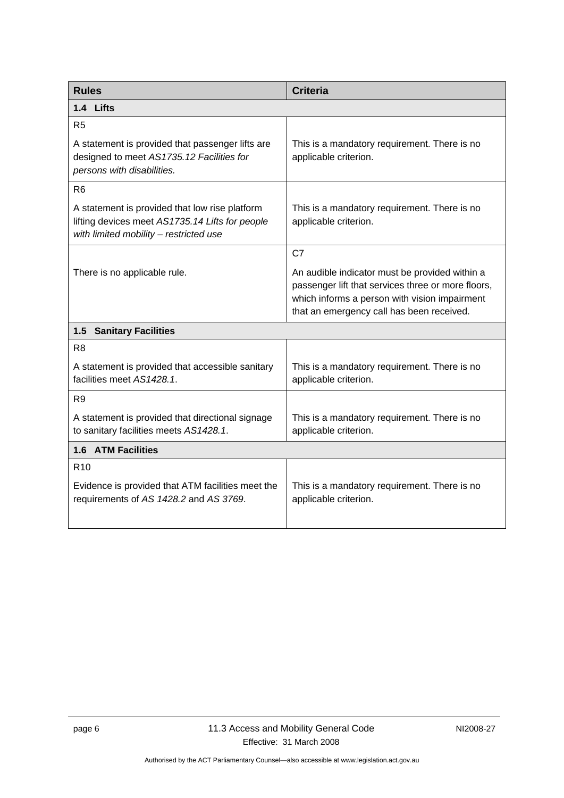| <b>Rules</b>                                                                                                                                | <b>Criteria</b>                                                                                                                                                                                    |  |
|---------------------------------------------------------------------------------------------------------------------------------------------|----------------------------------------------------------------------------------------------------------------------------------------------------------------------------------------------------|--|
| 1.4 Lifts                                                                                                                                   |                                                                                                                                                                                                    |  |
| R5                                                                                                                                          |                                                                                                                                                                                                    |  |
| A statement is provided that passenger lifts are<br>designed to meet AS1735.12 Facilities for<br>persons with disabilities.                 | This is a mandatory requirement. There is no<br>applicable criterion.                                                                                                                              |  |
| R <sub>6</sub>                                                                                                                              |                                                                                                                                                                                                    |  |
| A statement is provided that low rise platform<br>lifting devices meet AS1735.14 Lifts for people<br>with limited mobility - restricted use | This is a mandatory requirement. There is no<br>applicable criterion.                                                                                                                              |  |
|                                                                                                                                             | C7                                                                                                                                                                                                 |  |
| There is no applicable rule.                                                                                                                | An audible indicator must be provided within a<br>passenger lift that services three or more floors,<br>which informs a person with vision impairment<br>that an emergency call has been received. |  |
| <b>Sanitary Facilities</b><br>1.5                                                                                                           |                                                                                                                                                                                                    |  |
| R <sub>8</sub>                                                                                                                              |                                                                                                                                                                                                    |  |
| A statement is provided that accessible sanitary<br>facilities meet AS1428.1.                                                               | This is a mandatory requirement. There is no<br>applicable criterion.                                                                                                                              |  |
| R9                                                                                                                                          |                                                                                                                                                                                                    |  |
| A statement is provided that directional signage<br>to sanitary facilities meets AS1428.1.                                                  | This is a mandatory requirement. There is no<br>applicable criterion.                                                                                                                              |  |
| 1.6 ATM Facilities                                                                                                                          |                                                                                                                                                                                                    |  |
| R <sub>10</sub>                                                                                                                             |                                                                                                                                                                                                    |  |
| Evidence is provided that ATM facilities meet the<br>requirements of AS 1428.2 and AS 3769.                                                 | This is a mandatory requirement. There is no<br>applicable criterion.                                                                                                                              |  |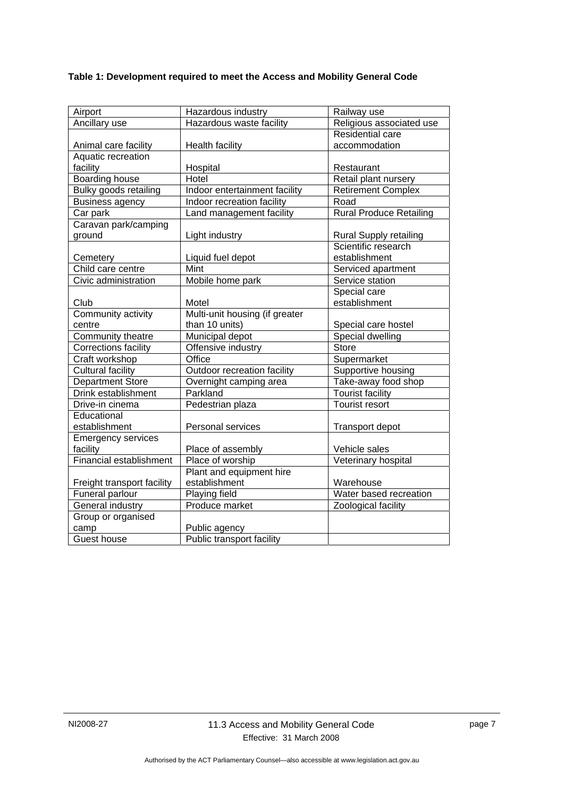### **Table 1: Development required to meet the Access and Mobility General Code**

| Airport                        | Hazardous industry             | Railway use                    |
|--------------------------------|--------------------------------|--------------------------------|
| Ancillary use                  | Hazardous waste facility       | Religious associated use       |
|                                |                                | Residential care               |
| Animal care facility           | <b>Health facility</b>         | accommodation                  |
| Aquatic recreation             |                                |                                |
| facility                       | Hospital                       | Restaurant                     |
| <b>Boarding house</b>          | Hotel                          | Retail plant nursery           |
| Bulky goods retailing          | Indoor entertainment facility  | <b>Retirement Complex</b>      |
| <b>Business agency</b>         | Indoor recreation facility     | Road                           |
| Car park                       | Land management facility       | <b>Rural Produce Retailing</b> |
| Caravan park/camping           |                                |                                |
| ground                         | Light industry                 | <b>Rural Supply retailing</b>  |
|                                |                                | Scientific research            |
| Cemetery                       | Liquid fuel depot              | establishment                  |
| Child care centre              | Mint                           | Serviced apartment             |
| Civic administration           | Mobile home park               | Service station                |
|                                |                                | Special care                   |
| Club                           | Motel                          | establishment                  |
| Community activity             | Multi-unit housing (if greater |                                |
| centre                         | than 10 units)                 | Special care hostel            |
| Community theatre              | Municipal depot                | Special dwelling               |
| Corrections facility           | Offensive industry             | Store                          |
| Craft workshop                 | Office                         | Supermarket                    |
| <b>Cultural facility</b>       | Outdoor recreation facility    | Supportive housing             |
| <b>Department Store</b>        | Overnight camping area         | Take-away food shop            |
| Drink establishment            | Parkland                       | <b>Tourist facility</b>        |
| Drive-in cinema                | Pedestrian plaza               | Tourist resort                 |
| Educational                    |                                |                                |
| establishment                  | Personal services              | Transport depot                |
| <b>Emergency services</b>      |                                |                                |
| facility                       | Place of assembly              | Vehicle sales                  |
| <b>Financial establishment</b> | Place of worship               | Veterinary hospital            |
|                                | Plant and equipment hire       |                                |
| Freight transport facility     | establishment                  | Warehouse                      |
| Funeral parlour                | Playing field                  | Water based recreation         |
| General industry               | Produce market                 | Zoological facility            |
| Group or organised             |                                |                                |
| camp                           | Public agency                  |                                |
| Guest house                    | Public transport facility      |                                |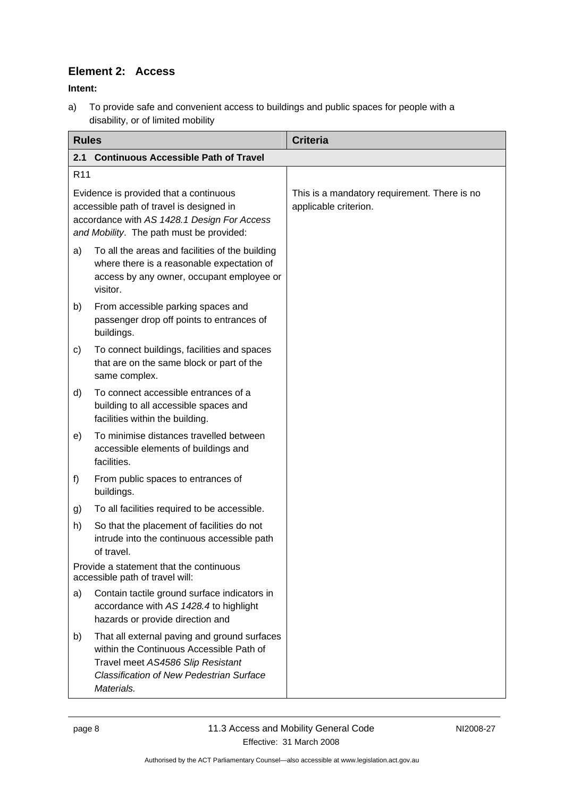### **Element 2: Access**

**Intent:** 

a) To provide safe and convenient access to buildings and public spaces for people with a disability, or of limited mobility

| <b>Rules</b>                                                                                                                                                                  |                                                                                                                                                                                                | <b>Criteria</b>                                                       |
|-------------------------------------------------------------------------------------------------------------------------------------------------------------------------------|------------------------------------------------------------------------------------------------------------------------------------------------------------------------------------------------|-----------------------------------------------------------------------|
| 2.1                                                                                                                                                                           | <b>Continuous Accessible Path of Travel</b>                                                                                                                                                    |                                                                       |
| R <sub>11</sub>                                                                                                                                                               |                                                                                                                                                                                                |                                                                       |
| Evidence is provided that a continuous<br>accessible path of travel is designed in<br>accordance with AS 1428.1 Design For Access<br>and Mobility. The path must be provided: |                                                                                                                                                                                                | This is a mandatory requirement. There is no<br>applicable criterion. |
| a)                                                                                                                                                                            | To all the areas and facilities of the building<br>where there is a reasonable expectation of<br>access by any owner, occupant employee or<br>visitor.                                         |                                                                       |
| b)                                                                                                                                                                            | From accessible parking spaces and<br>passenger drop off points to entrances of<br>buildings.                                                                                                  |                                                                       |
| c)                                                                                                                                                                            | To connect buildings, facilities and spaces<br>that are on the same block or part of the<br>same complex.                                                                                      |                                                                       |
| d)                                                                                                                                                                            | To connect accessible entrances of a<br>building to all accessible spaces and<br>facilities within the building.                                                                               |                                                                       |
| e)                                                                                                                                                                            | To minimise distances travelled between<br>accessible elements of buildings and<br>facilities.                                                                                                 |                                                                       |
| f)                                                                                                                                                                            | From public spaces to entrances of<br>buildings.                                                                                                                                               |                                                                       |
| g)                                                                                                                                                                            | To all facilities required to be accessible.                                                                                                                                                   |                                                                       |
| h)                                                                                                                                                                            | So that the placement of facilities do not<br>intrude into the continuous accessible path<br>of travel.                                                                                        |                                                                       |
| Provide a statement that the continuous<br>accessible path of travel will:                                                                                                    |                                                                                                                                                                                                |                                                                       |
| a)                                                                                                                                                                            | Contain tactile ground surface indicators in<br>accordance with AS 1428.4 to highlight<br>hazards or provide direction and                                                                     |                                                                       |
| b)                                                                                                                                                                            | That all external paving and ground surfaces<br>within the Continuous Accessible Path of<br>Travel meet AS4586 Slip Resistant<br><b>Classification of New Pedestrian Surface</b><br>Materials. |                                                                       |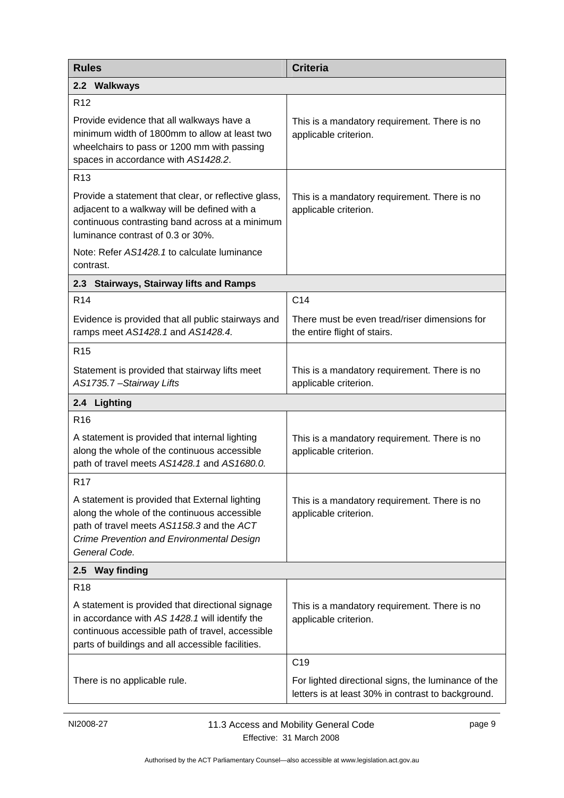| <b>Rules</b>                                                                                                                                                                                                | <b>Criteria</b>                                                                                           |  |  |
|-------------------------------------------------------------------------------------------------------------------------------------------------------------------------------------------------------------|-----------------------------------------------------------------------------------------------------------|--|--|
| 2.2 Walkways                                                                                                                                                                                                |                                                                                                           |  |  |
| R <sub>12</sub>                                                                                                                                                                                             |                                                                                                           |  |  |
| Provide evidence that all walkways have a<br>minimum width of 1800mm to allow at least two<br>wheelchairs to pass or 1200 mm with passing<br>spaces in accordance with AS1428.2.                            | This is a mandatory requirement. There is no<br>applicable criterion.                                     |  |  |
| R <sub>13</sub>                                                                                                                                                                                             |                                                                                                           |  |  |
| Provide a statement that clear, or reflective glass,<br>adjacent to a walkway will be defined with a<br>continuous contrasting band across at a minimum<br>luminance contrast of 0.3 or 30%.                | This is a mandatory requirement. There is no<br>applicable criterion.                                     |  |  |
| Note: Refer AS1428.1 to calculate luminance<br>contrast.                                                                                                                                                    |                                                                                                           |  |  |
| 2.3 Stairways, Stairway lifts and Ramps                                                                                                                                                                     |                                                                                                           |  |  |
| R <sub>14</sub>                                                                                                                                                                                             | C <sub>14</sub>                                                                                           |  |  |
| Evidence is provided that all public stairways and<br>ramps meet AS1428.1 and AS1428.4.                                                                                                                     | There must be even tread/riser dimensions for<br>the entire flight of stairs.                             |  |  |
| R <sub>15</sub>                                                                                                                                                                                             |                                                                                                           |  |  |
| Statement is provided that stairway lifts meet<br>AS1735.7 - Stairway Lifts                                                                                                                                 | This is a mandatory requirement. There is no<br>applicable criterion.                                     |  |  |
| 2.4 Lighting                                                                                                                                                                                                |                                                                                                           |  |  |
| R <sub>16</sub>                                                                                                                                                                                             |                                                                                                           |  |  |
| A statement is provided that internal lighting<br>along the whole of the continuous accessible<br>path of travel meets AS1428.1 and AS1680.0.                                                               | This is a mandatory requirement. There is no<br>applicable criterion.                                     |  |  |
| R <sub>17</sub>                                                                                                                                                                                             |                                                                                                           |  |  |
| A statement is provided that External lighting<br>along the whole of the continuous accessible<br>path of travel meets AS1158.3 and the ACT<br>Crime Prevention and Environmental Design<br>General Code.   | This is a mandatory requirement. There is no<br>applicable criterion.                                     |  |  |
| 2.5 Way finding                                                                                                                                                                                             |                                                                                                           |  |  |
| R <sub>18</sub>                                                                                                                                                                                             |                                                                                                           |  |  |
| A statement is provided that directional signage<br>in accordance with AS 1428.1 will identify the<br>continuous accessible path of travel, accessible<br>parts of buildings and all accessible facilities. | This is a mandatory requirement. There is no<br>applicable criterion.                                     |  |  |
|                                                                                                                                                                                                             | C <sub>19</sub>                                                                                           |  |  |
| There is no applicable rule.                                                                                                                                                                                | For lighted directional signs, the luminance of the<br>letters is at least 30% in contrast to background. |  |  |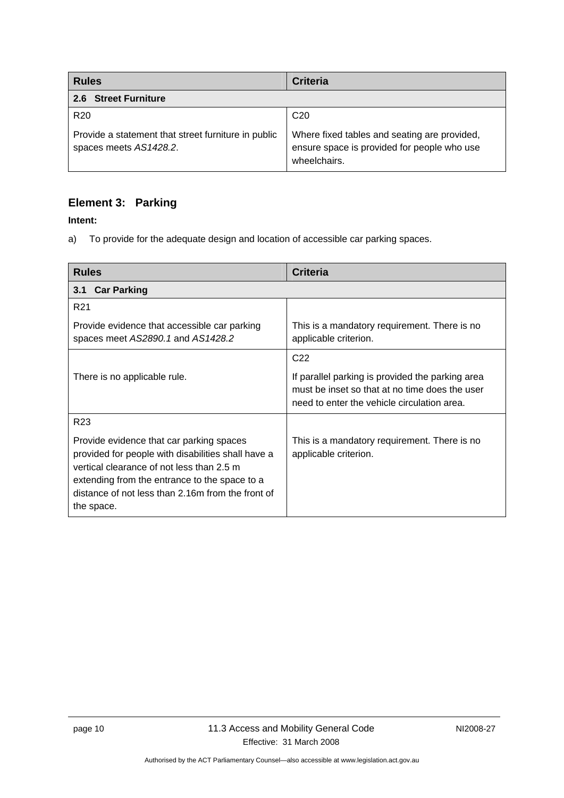| <b>Rules</b>                                                                  | <b>Criteria</b>                                                                                             |
|-------------------------------------------------------------------------------|-------------------------------------------------------------------------------------------------------------|
| 2.6 Street Furniture                                                          |                                                                                                             |
| R <sub>20</sub>                                                               | C <sub>20</sub>                                                                                             |
| Provide a statement that street furniture in public<br>spaces meets AS1428.2. | Where fixed tables and seating are provided,<br>ensure space is provided for people who use<br>wheelchairs. |

### **Element 3: Parking**

#### **Intent:**

a) To provide for the adequate design and location of accessible car parking spaces.

| <b>Rules</b>                                                                                                                                                                                                                                                    | <b>Criteria</b>                                                                                                                                   |  |
|-----------------------------------------------------------------------------------------------------------------------------------------------------------------------------------------------------------------------------------------------------------------|---------------------------------------------------------------------------------------------------------------------------------------------------|--|
| <b>Car Parking</b><br>3.1                                                                                                                                                                                                                                       |                                                                                                                                                   |  |
| R <sub>21</sub>                                                                                                                                                                                                                                                 |                                                                                                                                                   |  |
| Provide evidence that accessible car parking<br>spaces meet AS2890.1 and AS1428.2                                                                                                                                                                               | This is a mandatory requirement. There is no<br>applicable criterion.                                                                             |  |
|                                                                                                                                                                                                                                                                 | C <sub>22</sub>                                                                                                                                   |  |
| There is no applicable rule.                                                                                                                                                                                                                                    | If parallel parking is provided the parking area<br>must be inset so that at no time does the user<br>need to enter the vehicle circulation area. |  |
| R <sub>23</sub>                                                                                                                                                                                                                                                 |                                                                                                                                                   |  |
| Provide evidence that car parking spaces<br>provided for people with disabilities shall have a<br>vertical clearance of not less than 2.5 m<br>extending from the entrance to the space to a<br>distance of not less than 2.16m from the front of<br>the space. | This is a mandatory requirement. There is no<br>applicable criterion.                                                                             |  |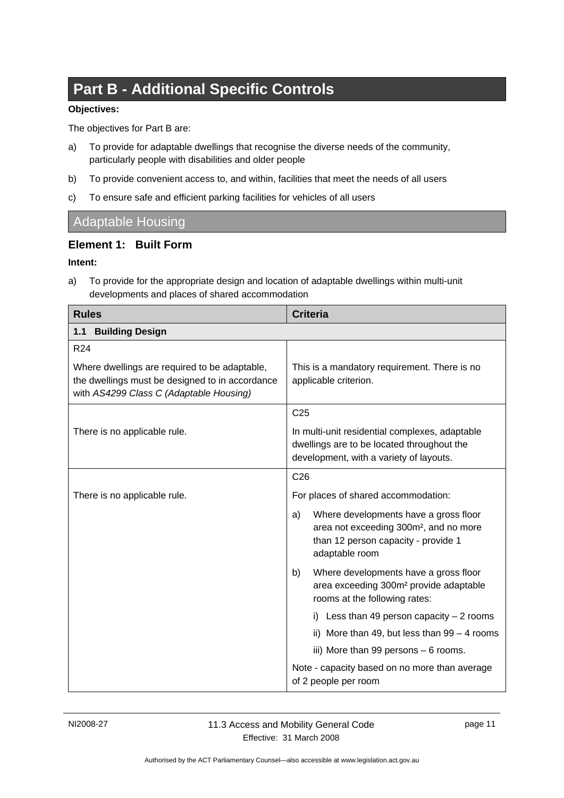# **Part B - Additional Specific Controls**

#### **Objectives:**

The objectives for Part B are:

- a) To provide for adaptable dwellings that recognise the diverse needs of the community, particularly people with disabilities and older people
- b) To provide convenient access to, and within, facilities that meet the needs of all users
- c) To ensure safe and efficient parking facilities for vehicles of all users

### Adaptable Housing

#### **Element 1: Built Form**

#### **Intent:**

a) To provide for the appropriate design and location of adaptable dwellings within multi-unit developments and places of shared accommodation

| <b>Rules</b>                                                                                                                                | <b>Criteria</b>                                                                                                                                            |
|---------------------------------------------------------------------------------------------------------------------------------------------|------------------------------------------------------------------------------------------------------------------------------------------------------------|
| <b>Building Design</b><br>1.1                                                                                                               |                                                                                                                                                            |
| R <sub>24</sub>                                                                                                                             |                                                                                                                                                            |
| Where dwellings are required to be adaptable,<br>the dwellings must be designed to in accordance<br>with AS4299 Class C (Adaptable Housing) | This is a mandatory requirement. There is no<br>applicable criterion.                                                                                      |
|                                                                                                                                             | C <sub>25</sub>                                                                                                                                            |
| There is no applicable rule.                                                                                                                | In multi-unit residential complexes, adaptable<br>dwellings are to be located throughout the<br>development, with a variety of layouts.                    |
|                                                                                                                                             | C <sub>26</sub>                                                                                                                                            |
| There is no applicable rule.                                                                                                                | For places of shared accommodation:                                                                                                                        |
|                                                                                                                                             | Where developments have a gross floor<br>a)<br>area not exceeding 300m <sup>2</sup> , and no more<br>than 12 person capacity - provide 1<br>adaptable room |
|                                                                                                                                             | Where developments have a gross floor<br>b)<br>area exceeding 300m <sup>2</sup> provide adaptable<br>rooms at the following rates:                         |
|                                                                                                                                             | i) Less than 49 person capacity $-2$ rooms                                                                                                                 |
|                                                                                                                                             | ii) More than 49, but less than $99 - 4$ rooms                                                                                                             |
|                                                                                                                                             | iii) More than 99 persons - 6 rooms.                                                                                                                       |
|                                                                                                                                             | Note - capacity based on no more than average<br>of 2 people per room                                                                                      |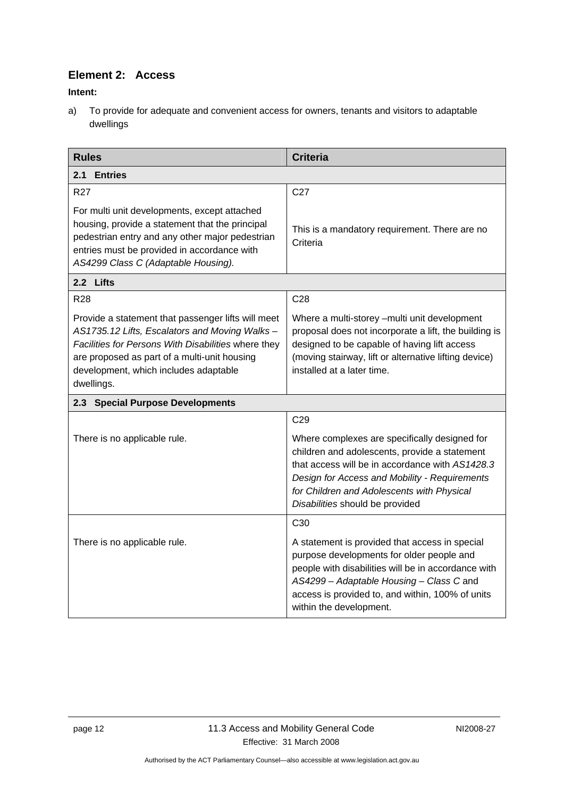### **Element 2: Access**

**Intent:** 

a) To provide for adequate and convenient access for owners, tenants and visitors to adaptable dwellings

| <b>Rules</b>                                                                                                                                                                                                                                                       | <b>Criteria</b>                                                                                                                                                                                                                                                                     |  |
|--------------------------------------------------------------------------------------------------------------------------------------------------------------------------------------------------------------------------------------------------------------------|-------------------------------------------------------------------------------------------------------------------------------------------------------------------------------------------------------------------------------------------------------------------------------------|--|
| 2.1<br><b>Entries</b>                                                                                                                                                                                                                                              |                                                                                                                                                                                                                                                                                     |  |
| R <sub>27</sub>                                                                                                                                                                                                                                                    | C <sub>27</sub>                                                                                                                                                                                                                                                                     |  |
| For multi unit developments, except attached<br>housing, provide a statement that the principal<br>pedestrian entry and any other major pedestrian<br>entries must be provided in accordance with<br>AS4299 Class C (Adaptable Housing).                           | This is a mandatory requirement. There are no<br>Criteria                                                                                                                                                                                                                           |  |
| 2.2 Lifts                                                                                                                                                                                                                                                          |                                                                                                                                                                                                                                                                                     |  |
| <b>R28</b>                                                                                                                                                                                                                                                         | C <sub>28</sub>                                                                                                                                                                                                                                                                     |  |
| Provide a statement that passenger lifts will meet<br>AS1735.12 Lifts, Escalators and Moving Walks -<br>Facilities for Persons With Disabilities where they<br>are proposed as part of a multi-unit housing<br>development, which includes adaptable<br>dwellings. | Where a multi-storey - multi unit development<br>proposal does not incorporate a lift, the building is<br>designed to be capable of having lift access<br>(moving stairway, lift or alternative lifting device)<br>installed at a later time.                                       |  |
| 2.3 Special Purpose Developments                                                                                                                                                                                                                                   |                                                                                                                                                                                                                                                                                     |  |
|                                                                                                                                                                                                                                                                    | C <sub>29</sub>                                                                                                                                                                                                                                                                     |  |
| There is no applicable rule.                                                                                                                                                                                                                                       | Where complexes are specifically designed for<br>children and adolescents, provide a statement<br>that access will be in accordance with AS1428.3<br>Design for Access and Mobility - Requirements<br>for Children and Adolescents with Physical<br>Disabilities should be provided |  |
|                                                                                                                                                                                                                                                                    | C <sub>30</sub>                                                                                                                                                                                                                                                                     |  |
| There is no applicable rule.                                                                                                                                                                                                                                       | A statement is provided that access in special<br>purpose developments for older people and<br>people with disabilities will be in accordance with<br>AS4299 - Adaptable Housing - Class C and<br>access is provided to, and within, 100% of units<br>within the development.       |  |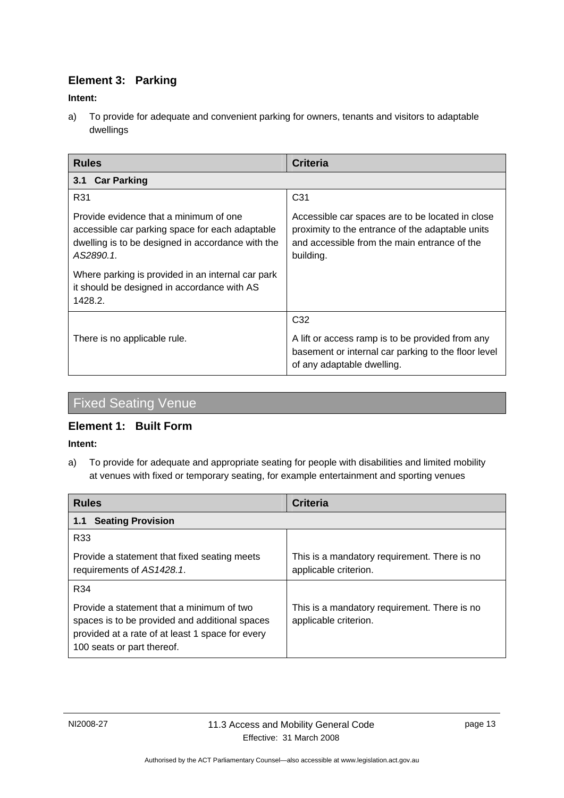### **Element 3: Parking**

#### **Intent:**

a) To provide for adequate and convenient parking for owners, tenants and visitors to adaptable dwellings

| <b>Rules</b>                                                                                                                                                | <b>Criteria</b>                                                                                                                                                   |
|-------------------------------------------------------------------------------------------------------------------------------------------------------------|-------------------------------------------------------------------------------------------------------------------------------------------------------------------|
| <b>Car Parking</b><br>3.1                                                                                                                                   |                                                                                                                                                                   |
| R31                                                                                                                                                         | C <sub>31</sub>                                                                                                                                                   |
| Provide evidence that a minimum of one<br>accessible car parking space for each adaptable<br>dwelling is to be designed in accordance with the<br>AS2890.1. | Accessible car spaces are to be located in close<br>proximity to the entrance of the adaptable units<br>and accessible from the main entrance of the<br>building. |
| Where parking is provided in an internal car park<br>it should be designed in accordance with AS<br>1428.2.                                                 |                                                                                                                                                                   |
|                                                                                                                                                             | C <sub>32</sub>                                                                                                                                                   |
| There is no applicable rule.                                                                                                                                | A lift or access ramp is to be provided from any<br>basement or internal car parking to the floor level<br>of any adaptable dwelling.                             |

# Fixed Seating Venue

#### **Element 1: Built Form**

#### **Intent:**

a) To provide for adequate and appropriate seating for people with disabilities and limited mobility at venues with fixed or temporary seating, for example entertainment and sporting venues

| <b>Rules</b>                                                                                                                                                                  | <b>Criteria</b>                                                       |
|-------------------------------------------------------------------------------------------------------------------------------------------------------------------------------|-----------------------------------------------------------------------|
| <b>Seating Provision</b><br>1.1                                                                                                                                               |                                                                       |
| R <sub>33</sub>                                                                                                                                                               |                                                                       |
| Provide a statement that fixed seating meets<br>requirements of AS1428.1.                                                                                                     | This is a mandatory requirement. There is no<br>applicable criterion. |
| R34                                                                                                                                                                           |                                                                       |
| Provide a statement that a minimum of two<br>spaces is to be provided and additional spaces<br>provided at a rate of at least 1 space for every<br>100 seats or part thereof. | This is a mandatory requirement. There is no<br>applicable criterion. |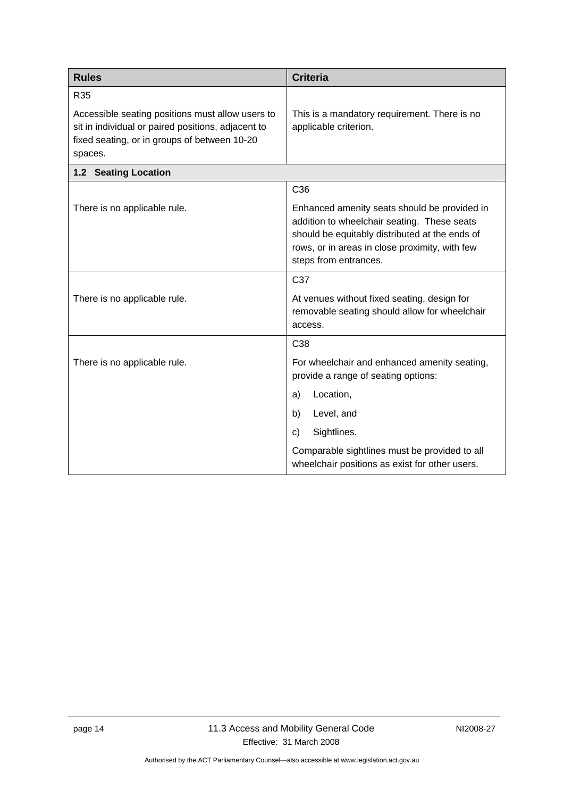| <b>Rules</b>                                                                                                                                                      | <b>Criteria</b>                                                                                                                                                                                                          |
|-------------------------------------------------------------------------------------------------------------------------------------------------------------------|--------------------------------------------------------------------------------------------------------------------------------------------------------------------------------------------------------------------------|
| R35                                                                                                                                                               |                                                                                                                                                                                                                          |
| Accessible seating positions must allow users to<br>sit in individual or paired positions, adjacent to<br>fixed seating, or in groups of between 10-20<br>spaces. | This is a mandatory requirement. There is no<br>applicable criterion.                                                                                                                                                    |
| 1.2 Seating Location                                                                                                                                              |                                                                                                                                                                                                                          |
|                                                                                                                                                                   | C <sub>36</sub>                                                                                                                                                                                                          |
| There is no applicable rule.                                                                                                                                      | Enhanced amenity seats should be provided in<br>addition to wheelchair seating. These seats<br>should be equitably distributed at the ends of<br>rows, or in areas in close proximity, with few<br>steps from entrances. |
|                                                                                                                                                                   | C37                                                                                                                                                                                                                      |
| There is no applicable rule.                                                                                                                                      | At venues without fixed seating, design for<br>removable seating should allow for wheelchair<br>access.                                                                                                                  |
|                                                                                                                                                                   | C <sub>38</sub>                                                                                                                                                                                                          |
| There is no applicable rule.                                                                                                                                      | For wheelchair and enhanced amenity seating,<br>provide a range of seating options:                                                                                                                                      |
|                                                                                                                                                                   | Location,<br>a)                                                                                                                                                                                                          |
|                                                                                                                                                                   | Level, and<br>b)                                                                                                                                                                                                         |
|                                                                                                                                                                   | Sightlines.<br>C)                                                                                                                                                                                                        |
|                                                                                                                                                                   | Comparable sightlines must be provided to all<br>wheelchair positions as exist for other users.                                                                                                                          |